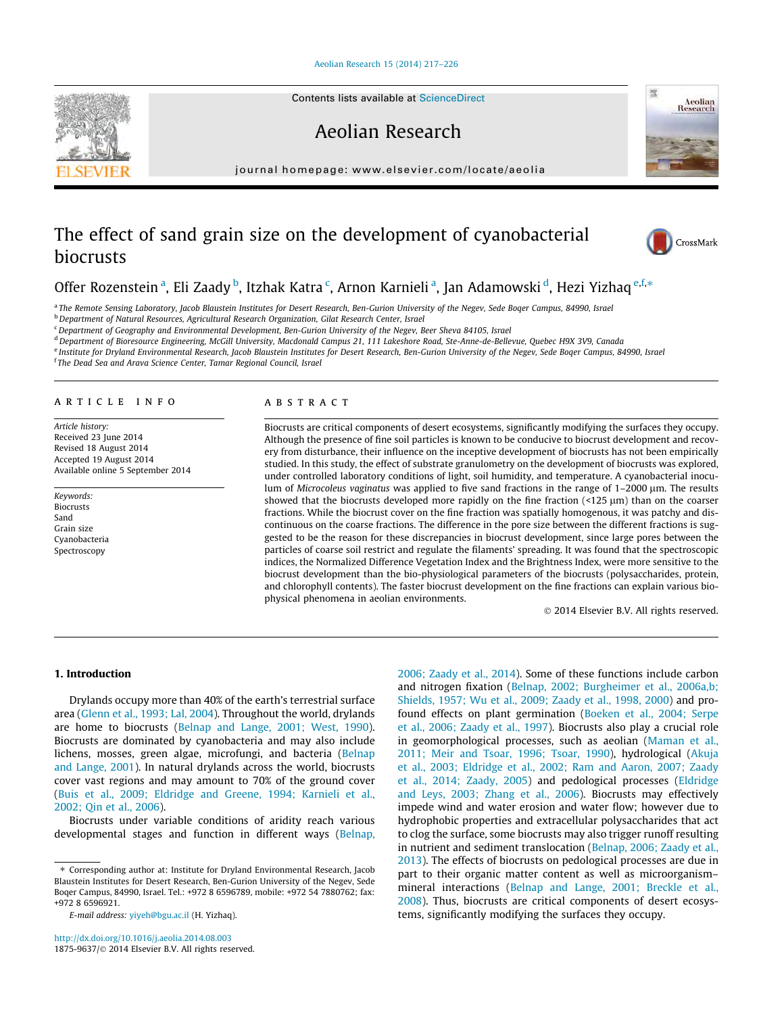[Aeolian Research 15 \(2014\) 217–226](http://dx.doi.org/10.1016/j.aeolia.2014.08.003)

Contents lists available at [ScienceDirect](http://www.sciencedirect.com/science/journal/18759637)

Aeolian Research

journal homepage: [www.elsevier.com/locate/aeolia](http://www.elsevier.com/locate/aeolia)

# The effect of sand grain size on the development of cyanobacterial biocrusts



CrossMark

Aeolian<br>Research

阀

## Offer Rozenstein<sup>a</sup>, Eli Zaady <sup>b</sup>, Itzhak Katra ʿ, Arnon Karnieli <sup>a</sup>, Jan Adamowski <sup>d</sup>, Hezi Yizhaq <sup>e,f,</sup>\*

<sup>a</sup> The Remote Sensing Laboratory, Jacob Blaustein Institutes for Desert Research, Ben-Gurion University of the Negev, Sede Boqer Campus, 84990, Israel

**b** Department of Natural Resources, Agricultural Research Organization, Gilat Research Center, Israel

<sup>c</sup> Department of Geography and Environmental Development, Ben-Gurion University of the Negev, Beer Sheva 84105, Israel

<sup>d</sup> Department of Bioresource Engineering, McGill University, Macdonald Campus 21, 111 Lakeshore Road, Ste-Anne-de-Bellevue, Quebec H9X 3V9, Canada

e Institute for Dryland Environmental Research, Jacob Blaustein Institutes for Desert Research, Ben-Gurion University of the Negev, Sede Boqer Campus, 84990, Israel <sup>f</sup> The Dead Sea and Arava Science Center, Tamar Regional Council, Israel

## article info

Article history: Received 23 June 2014 Revised 18 August 2014 Accepted 19 August 2014 Available online 5 September 2014

Keywords: Biocrusts Sand Grain size Cyanobacteria Spectroscopy

## ABSTRACT

Biocrusts are critical components of desert ecosystems, significantly modifying the surfaces they occupy. Although the presence of fine soil particles is known to be conducive to biocrust development and recovery from disturbance, their influence on the inceptive development of biocrusts has not been empirically studied. In this study, the effect of substrate granulometry on the development of biocrusts was explored, under controlled laboratory conditions of light, soil humidity, and temperature. A cyanobacterial inoculum of Microcoleus vaginatus was applied to five sand fractions in the range of 1-2000 µm. The results showed that the biocrusts developed more rapidly on the fine fraction  $(125 \text{ nm})$  than on the coarser fractions. While the biocrust cover on the fine fraction was spatially homogenous, it was patchy and discontinuous on the coarse fractions. The difference in the pore size between the different fractions is suggested to be the reason for these discrepancies in biocrust development, since large pores between the particles of coarse soil restrict and regulate the filaments' spreading. It was found that the spectroscopic indices, the Normalized Difference Vegetation Index and the Brightness Index, were more sensitive to the biocrust development than the bio-physiological parameters of the biocrusts (polysaccharides, protein, and chlorophyll contents). The faster biocrust development on the fine fractions can explain various biophysical phenomena in aeolian environments.

- 2014 Elsevier B.V. All rights reserved.

## 1. Introduction

Drylands occupy more than 40% of the earth's terrestrial surface area ([Glenn et al., 1993; Lal, 2004](#page-8-0)). Throughout the world, drylands are home to biocrusts ([Belnap and Lange, 2001; West, 1990\)](#page-8-0). Biocrusts are dominated by cyanobacteria and may also include lichens, mosses, green algae, microfungi, and bacteria ([Belnap](#page-8-0) [and Lange, 2001](#page-8-0)). In natural drylands across the world, biocrusts cover vast regions and may amount to 70% of the ground cover ([Buis et al., 2009; Eldridge and Greene, 1994; Karnieli et al.,](#page-8-0) [2002; Qin et al., 2006\)](#page-8-0).

Biocrusts under variable conditions of aridity reach various developmental stages and function in different ways [\(Belnap,](#page-8-0) [2006; Zaady et al., 2014\)](#page-8-0). Some of these functions include carbon and nitrogen fixation [\(Belnap, 2002; Burgheimer et al., 2006a,b;](#page-8-0) [Shields, 1957; Wu et al., 2009; Zaady et al., 1998, 2000\)](#page-8-0) and profound effects on plant germination ([Boeken et al., 2004; Serpe](#page-8-0) [et al., 2006; Zaady et al., 1997](#page-8-0)). Biocrusts also play a crucial role in geomorphological processes, such as aeolian [\(Maman et al.,](#page-9-0) [2011; Meir and Tsoar, 1996; Tsoar, 1990](#page-9-0)), hydrological [\(Akuja](#page-8-0) [et al., 2003; Eldridge et al., 2002; Ram and Aaron, 2007; Zaady](#page-8-0) [et al., 2014; Zaady, 2005](#page-8-0)) and pedological processes [\(Eldridge](#page-8-0) [and Leys, 2003; Zhang et al., 2006\)](#page-8-0). Biocrusts may effectively impede wind and water erosion and water flow; however due to hydrophobic properties and extracellular polysaccharides that act to clog the surface, some biocrusts may also trigger runoff resulting in nutrient and sediment translocation [\(Belnap, 2006; Zaady et al.,](#page-8-0) [2013](#page-8-0)). The effects of biocrusts on pedological processes are due in part to their organic matter content as well as microorganism– mineral interactions ([Belnap and Lange, 2001; Breckle et al.,](#page-8-0) [2008](#page-8-0)). Thus, biocrusts are critical components of desert ecosystems, significantly modifying the surfaces they occupy.

<sup>⇑</sup> Corresponding author at: Institute for Dryland Environmental Research, Jacob Blaustein Institutes for Desert Research, Ben-Gurion University of the Negev, Sede Boqer Campus, 84990, Israel. Tel.: +972 8 6596789, mobile: +972 54 7880762; fax: +972 8 6596921.

E-mail address: [yiyeh@bgu.ac.il](mailto:yiyeh@bgu.ac.il) (H. Yizhaq).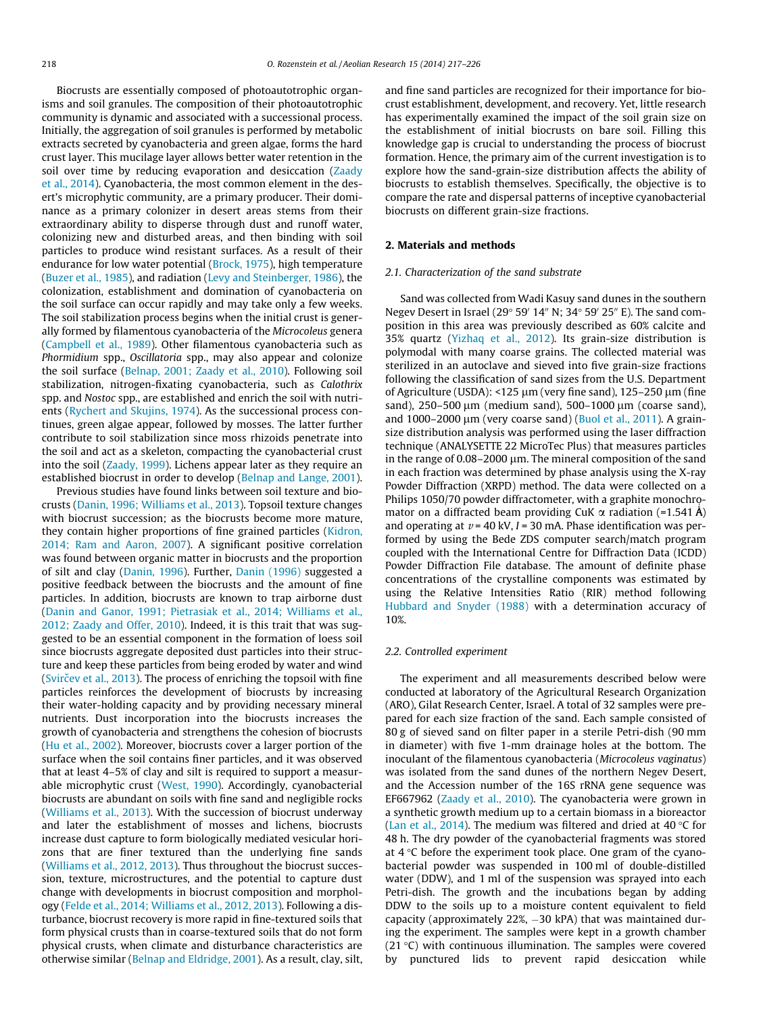Biocrusts are essentially composed of photoautotrophic organisms and soil granules. The composition of their photoautotrophic community is dynamic and associated with a successional process. Initially, the aggregation of soil granules is performed by metabolic extracts secreted by cyanobacteria and green algae, forms the hard crust layer. This mucilage layer allows better water retention in the soil over time by reducing evaporation and desiccation [\(Zaady](#page-9-0) [et al., 2014](#page-9-0)). Cyanobacteria, the most common element in the desert's microphytic community, are a primary producer. Their dominance as a primary colonizer in desert areas stems from their extraordinary ability to disperse through dust and runoff water, colonizing new and disturbed areas, and then binding with soil particles to produce wind resistant surfaces. As a result of their endurance for low water potential [\(Brock, 1975\)](#page-8-0), high temperature ([Buzer et al., 1985](#page-8-0)), and radiation ([Levy and Steinberger, 1986\)](#page-8-0), the colonization, establishment and domination of cyanobacteria on the soil surface can occur rapidly and may take only a few weeks. The soil stabilization process begins when the initial crust is generally formed by filamentous cyanobacteria of the Microcoleus genera ([Campbell et al., 1989](#page-8-0)). Other filamentous cyanobacteria such as Phormidium spp., Oscillatoria spp., may also appear and colonize the soil surface ([Belnap, 2001; Zaady et al., 2010](#page-8-0)). Following soil stabilization, nitrogen-fixating cyanobacteria, such as Calothrix spp. and Nostoc spp., are established and enrich the soil with nutrients [\(Rychert and Skujins, 1974](#page-9-0)). As the successional process continues, green algae appear, followed by mosses. The latter further contribute to soil stabilization since moss rhizoids penetrate into the soil and act as a skeleton, compacting the cyanobacterial crust into the soil ([Zaady, 1999](#page-9-0)). Lichens appear later as they require an established biocrust in order to develop [\(Belnap and Lange, 2001\)](#page-8-0).

Previous studies have found links between soil texture and biocrusts [\(Danin, 1996; Williams et al., 2013\)](#page-8-0). Topsoil texture changes with biocrust succession; as the biocrusts become more mature, they contain higher proportions of fine grained particles [\(Kidron,](#page-8-0) [2014; Ram and Aaron, 2007\)](#page-8-0). A significant positive correlation was found between organic matter in biocrusts and the proportion of silt and clay ([Danin, 1996](#page-8-0)). Further, [Danin \(1996\)](#page-8-0) suggested a positive feedback between the biocrusts and the amount of fine particles. In addition, biocrusts are known to trap airborne dust ([Danin and Ganor, 1991; Pietrasiak et al., 2014; Williams et al.,](#page-8-0) [2012; Zaady and Offer, 2010](#page-8-0)). Indeed, it is this trait that was suggested to be an essential component in the formation of loess soil since biocrusts aggregate deposited dust particles into their structure and keep these particles from being eroded by water and wind (Svirc̆ev et al., 2013). The process of enriching the topsoil with fine particles reinforces the development of biocrusts by increasing their water-holding capacity and by providing necessary mineral nutrients. Dust incorporation into the biocrusts increases the growth of cyanobacteria and strengthens the cohesion of biocrusts ([Hu et al., 2002](#page-8-0)). Moreover, biocrusts cover a larger portion of the surface when the soil contains finer particles, and it was observed that at least 4–5% of clay and silt is required to support a measurable microphytic crust [\(West, 1990](#page-9-0)). Accordingly, cyanobacterial biocrusts are abundant on soils with fine sand and negligible rocks ([Williams et al., 2013\)](#page-9-0). With the succession of biocrust underway and later the establishment of mosses and lichens, biocrusts increase dust capture to form biologically mediated vesicular horizons that are finer textured than the underlying fine sands ([Williams et al., 2012, 2013](#page-9-0)). Thus throughout the biocrust succession, texture, microstructures, and the potential to capture dust change with developments in biocrust composition and morphology [\(Felde et al., 2014; Williams et al., 2012, 2013\)](#page-8-0). Following a disturbance, biocrust recovery is more rapid in fine-textured soils that form physical crusts than in coarse-textured soils that do not form physical crusts, when climate and disturbance characteristics are otherwise similar ([Belnap and Eldridge, 2001](#page-8-0)). As a result, clay, silt, and fine sand particles are recognized for their importance for biocrust establishment, development, and recovery. Yet, little research has experimentally examined the impact of the soil grain size on the establishment of initial biocrusts on bare soil. Filling this knowledge gap is crucial to understanding the process of biocrust formation. Hence, the primary aim of the current investigation is to explore how the sand-grain-size distribution affects the ability of biocrusts to establish themselves. Specifically, the objective is to compare the rate and dispersal patterns of inceptive cyanobacterial biocrusts on different grain-size fractions.

## 2. Materials and methods

## 2.1. Characterization of the sand substrate

Sand was collected from Wadi Kasuy sand dunes in the southern Negev Desert in Israel (29 $\degree$  59' 14" N; 34 $\degree$  59' 25" E). The sand composition in this area was previously described as 60% calcite and 35% quartz ([Yizhaq et al., 2012\)](#page-9-0). Its grain-size distribution is polymodal with many coarse grains. The collected material was sterilized in an autoclave and sieved into five grain-size fractions following the classification of sand sizes from the U.S. Department of Agriculture (USDA):  $\langle$ 125 µm (very fine sand), 125–250 µm (fine sand),  $250-500 \mu m$  (medium sand),  $500-1000 \mu m$  (coarse sand), and  $1000-2000 \mu m$  (very coarse sand) [\(Buol et al., 2011\)](#page-8-0). A grainsize distribution analysis was performed using the laser diffraction technique (ANALYSETTE 22 MicroTec Plus) that measures particles in the range of  $0.08-2000$  µm. The mineral composition of the sand in each fraction was determined by phase analysis using the X-ray Powder Diffraction (XRPD) method. The data were collected on a Philips 1050/70 powder diffractometer, with a graphite monochromator on a diffracted beam providing CuK  $\alpha$  radiation (=1.541 Å) and operating at  $v = 40$  kV,  $I = 30$  mA. Phase identification was performed by using the Bede ZDS computer search/match program coupled with the International Centre for Diffraction Data (ICDD) Powder Diffraction File database. The amount of definite phase concentrations of the crystalline components was estimated by using the Relative Intensities Ratio (RIR) method following [Hubbard and Snyder \(1988\)](#page-8-0) with a determination accuracy of 10%.

## 2.2. Controlled experiment

The experiment and all measurements described below were conducted at laboratory of the Agricultural Research Organization (ARO), Gilat Research Center, Israel. A total of 32 samples were prepared for each size fraction of the sand. Each sample consisted of 80 g of sieved sand on filter paper in a sterile Petri-dish (90 mm in diameter) with five 1-mm drainage holes at the bottom. The inoculant of the filamentous cyanobacteria (Microcoleus vaginatus) was isolated from the sand dunes of the northern Negev Desert, and the Accession number of the 16S rRNA gene sequence was EF667962 [\(Zaady et al., 2010\)](#page-9-0). The cyanobacteria were grown in a synthetic growth medium up to a certain biomass in a bioreactor ([Lan et al., 2014](#page-8-0)). The medium was filtered and dried at 40  $\degree$ C for 48 h. The dry powder of the cyanobacterial fragments was stored at  $4^{\circ}$ C before the experiment took place. One gram of the cyanobacterial powder was suspended in 100 ml of double-distilled water (DDW), and 1 ml of the suspension was sprayed into each Petri-dish. The growth and the incubations began by adding DDW to the soils up to a moisture content equivalent to field  $capacity$  (approximately 22%,  $-30$  kPA) that was maintained during the experiment. The samples were kept in a growth chamber (21  $\degree$ C) with continuous illumination. The samples were covered by punctured lids to prevent rapid desiccation while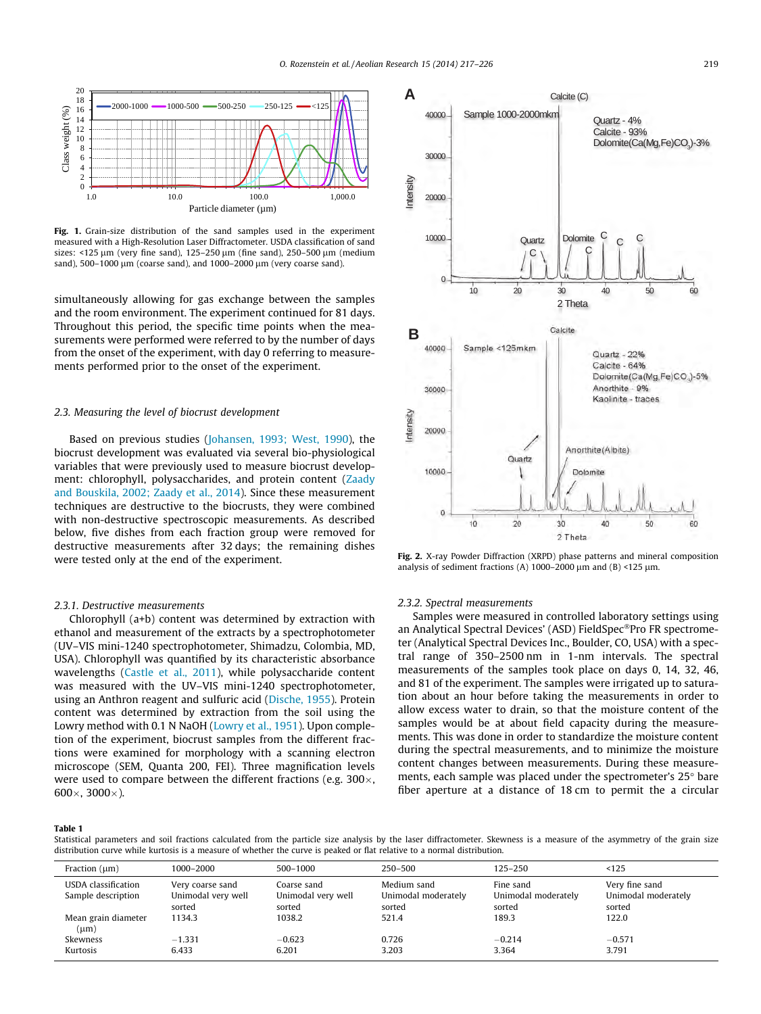<span id="page-2-0"></span>

Fig. 1. Grain-size distribution of the sand samples used in the experiment measured with a High-Resolution Laser Diffractometer. USDA classification of sand sizes: <125  $\mu$ m (very fine sand), 125–250  $\mu$ m (fine sand), 250–500  $\mu$ m (medium sand), 500–1000  $\mu$ m (coarse sand), and 1000–2000  $\mu$ m (very coarse sand).

simultaneously allowing for gas exchange between the samples and the room environment. The experiment continued for 81 days. Throughout this period, the specific time points when the measurements were performed were referred to by the number of days from the onset of the experiment, with day 0 referring to measurements performed prior to the onset of the experiment.

## 2.3. Measuring the level of biocrust development

Based on previous studies (Johansen, [1993; West, 1990\)](#page-8-0), the biocrust development was evaluated via several bio-physiological variables that were previously used to measure biocrust development: chlorophyll, polysaccharides, and protein content [\(Zaady](#page-9-0) [and Bouskila, 2002; Zaady et al., 2014](#page-9-0)). Since these measurement techniques are destructive to the biocrusts, they were combined with non-destructive spectroscopic measurements. As described below, five dishes from each fraction group were removed for destructive measurements after 32 days; the remaining dishes were tested only at the end of the experiment.

#### 2.3.1. Destructive measurements

Chlorophyll (a+b) content was determined by extraction with ethanol and measurement of the extracts by a spectrophotometer (UV–VIS mini-1240 spectrophotometer, Shimadzu, Colombia, MD, USA). Chlorophyll was quantified by its characteristic absorbance wavelengths ([Castle et al., 2011\)](#page-8-0), while polysaccharide content was measured with the UV–VIS mini-1240 spectrophotometer, using an Anthron reagent and sulfuric acid [\(Dische, 1955\)](#page-8-0). Protein content was determined by extraction from the soil using the Lowry method with 0.1 N NaOH [\(Lowry et al., 1951\)](#page-8-0). Upon completion of the experiment, biocrust samples from the different fractions were examined for morphology with a scanning electron microscope (SEM, Quanta 200, FEI). Three magnification levels were used to compare between the different fractions (e.g.  $300 \times$ , 600 $\times$ , 3000 $\times$ ).



Fig. 2. X-ray Powder Diffraction (XRPD) phase patterns and mineral composition analysis of sediment fractions (A)  $1000-2000$   $\mu$ m and (B) <125  $\mu$ m.

#### 2.3.2. Spectral measurements

Samples were measured in controlled laboratory settings using an Analytical Spectral Devices' (ASD) FieldSpec®Pro FR spectrometer (Analytical Spectral Devices Inc., Boulder, CO, USA) with a spectral range of 350–2500 nm in 1-nm intervals. The spectral measurements of the samples took place on days 0, 14, 32, 46, and 81 of the experiment. The samples were irrigated up to saturation about an hour before taking the measurements in order to allow excess water to drain, so that the moisture content of the samples would be at about field capacity during the measurements. This was done in order to standardize the moisture content during the spectral measurements, and to minimize the moisture content changes between measurements. During these measurements, each sample was placed under the spectrometer's  $25^{\circ}$  bare fiber aperture at a distance of 18 cm to permit the a circular

#### Table 1

Statistical parameters and soil fractions calculated from the particle size analysis by the laser diffractometer. Skewness is a measure of the asymmetry of the grain size distribution curve while kurtosis is a measure of whether the curve is peaked or flat relative to a normal distribution.

| Fraction $(\mu m)$                        | 1000-2000                                        | 500-1000                                    | 250–500                                      | $125 - 250$                                | < 125                                           |
|-------------------------------------------|--------------------------------------------------|---------------------------------------------|----------------------------------------------|--------------------------------------------|-------------------------------------------------|
| USDA classification<br>Sample description | Very coarse sand<br>Unimodal very well<br>sorted | Coarse sand<br>Unimodal very well<br>sorted | Medium sand<br>Unimodal moderately<br>sorted | Fine sand<br>Unimodal moderately<br>sorted | Very fine sand<br>Unimodal moderately<br>sorted |
| Mean grain diameter<br>$(\mu m)$          | 1134.3                                           | 1038.2                                      | 521.4                                        | 189.3                                      | 122.0                                           |
| Skewness<br>Kurtosis                      | $-1.331$<br>6.433                                | $-0.623$<br>6.201                           | 0.726<br>3.203                               | $-0.214$<br>3.364                          | $-0.571$<br>3.791                               |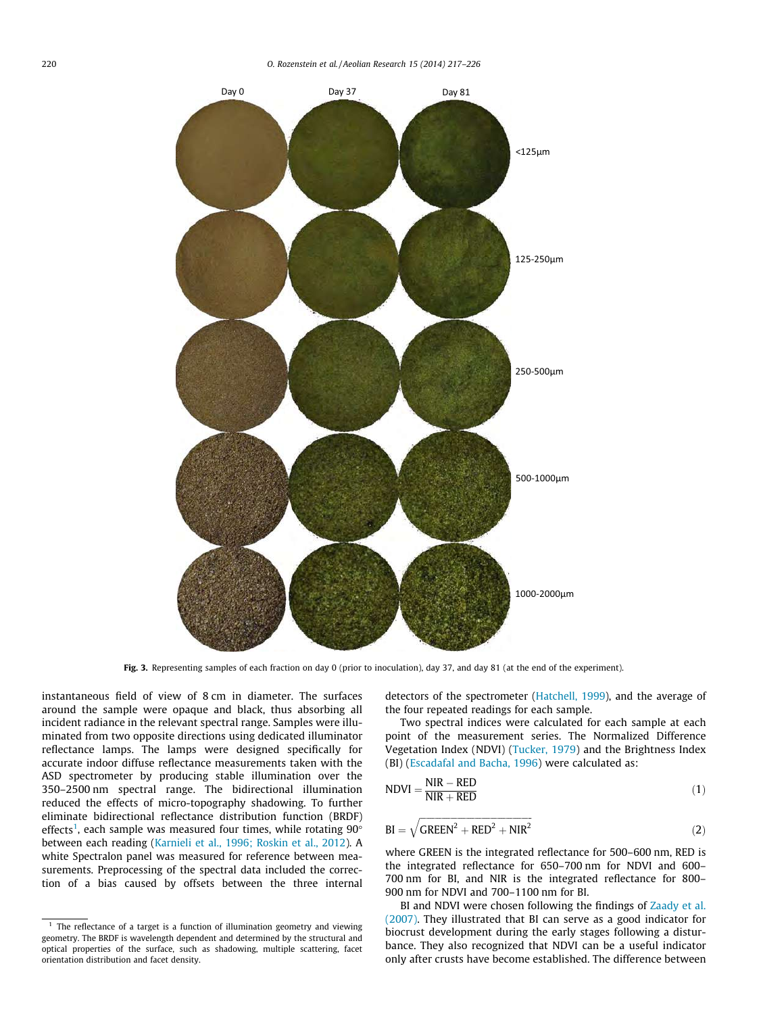<span id="page-3-0"></span>

Fig. 3. Representing samples of each fraction on day 0 (prior to inoculation), day 37, and day 81 (at the end of the experiment).

instantaneous field of view of 8 cm in diameter. The surfaces around the sample were opaque and black, thus absorbing all incident radiance in the relevant spectral range. Samples were illuminated from two opposite directions using dedicated illuminator reflectance lamps. The lamps were designed specifically for accurate indoor diffuse reflectance measurements taken with the ASD spectrometer by producing stable illumination over the 350–2500 nm spectral range. The bidirectional illumination reduced the effects of micro-topography shadowing. To further eliminate bidirectional reflectance distribution function (BRDF) effects<sup>1</sup>, each sample was measured four times, while rotating 90 $^{\circ}$ between each reading [\(Karnieli et al., 1996; Roskin et al., 2012\)](#page-8-0). A white Spectralon panel was measured for reference between measurements. Preprocessing of the spectral data included the correction of a bias caused by offsets between the three internal detectors of the spectrometer ([Hatchell,](#page-8-0) 1999), and the average of the four repeated readings for each sample.

Two spectral indices were calculated for each sample at each point of the measurement series. The Normalized Difference Vegetation Index (NDVI) [\(Tucker, 1979\)](#page-9-0) and the Brightness Index (BI) ([Escadafal and Bacha, 1996](#page-8-0)) were calculated as:

$$
NDVI = \frac{NIR - RED}{NIR + RED}
$$
 (1)

$$
BI = \sqrt{GREEN^2 + RED^2 + NIR^2}
$$
 (2)

where GREEN is the integrated reflectance for 500–600 nm, RED is the integrated reflectance for 650–700 nm for NDVI and 600– 700 nm for BI, and NIR is the integrated reflectance for 800– 900 nm for NDVI and 700–1100 nm for BI.

BI and NDVI were chosen following the findings of [Zaady et al.](#page-9-0) [\(2007\).](#page-9-0) They illustrated that BI can serve as a good indicator for biocrust development during the early stages following a disturbance. They also recognized that NDVI can be a useful indicator only after crusts have become established. The difference between

 $1$  The reflectance of a target is a function of illumination geometry and viewing geometry. The BRDF is wavelength dependent and determined by the structural and optical properties of the surface, such as shadowing, multiple scattering, facet orientation distribution and facet density.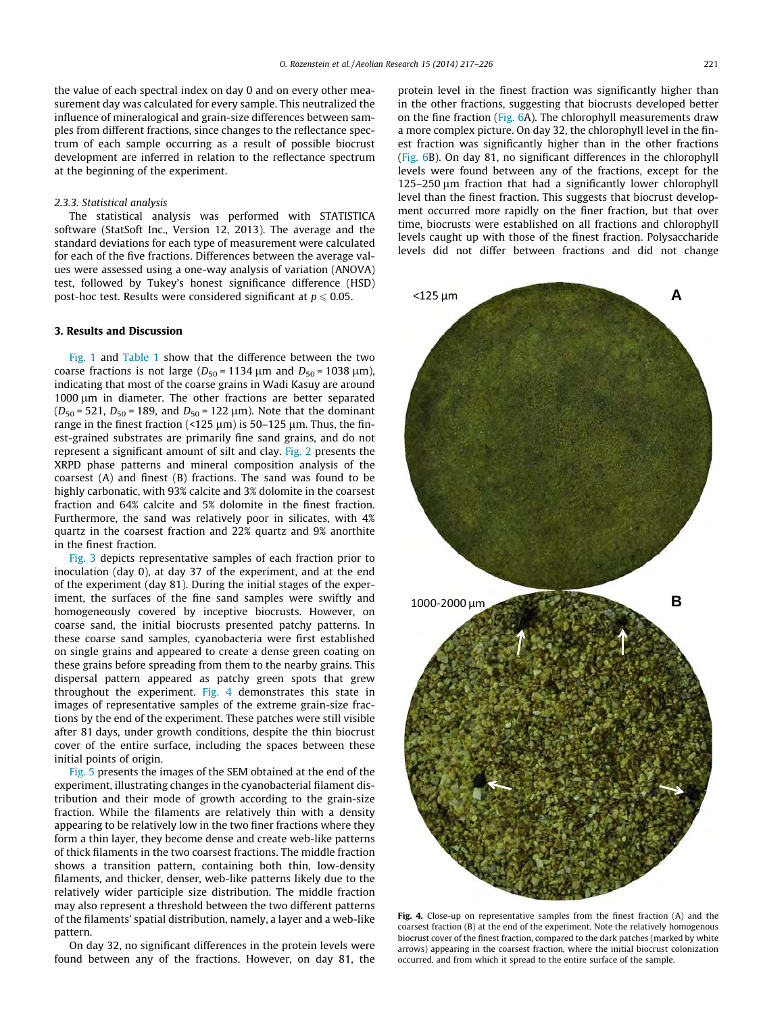the value of each spectral index on day 0 and on every other measurement day was calculated for every sample. This neutralized the influence of mineralogical and grain-size differences between samples from different fractions, since changes to the reflectance spectrum of each sample occurring as a result of possible biocrust development are inferred in relation to the reflectance spectrum at the beginning of the experiment.

## 2.3.3. Statistical analysis

The statistical analysis was performed with STATISTICA software (StatSoft Inc., Version 12, 2013). The average and the standard deviations for each type of measurement were calculated for each of the five fractions. Differences between the average values were assessed using a one-way analysis of variation (ANOVA) test, followed by Tukey's honest significance difference (HSD) post-hoc test. Results were considered significant at  $p \le 0.05$ .

## 3. Results and Discussion

[Fig. 1](#page-2-0) and [Table](#page-2-0) 1 show that the difference between the two coarse fractions is not large ( $D_{50}$  = 1134  $\mu$ m and  $D_{50}$  = 1038  $\mu$ m), indicating that most of the coarse grains in Wadi Kasuy are around  $1000 \mu m$  in diameter. The other fractions are better separated  $(D_{50} = 521, D_{50} = 189,$  and  $D_{50} = 122 \mu m$ ). Note that the dominant range in the finest fraction ( $<$ 125  $\mu$ m) is 50–125  $\mu$ m. Thus, the finest-grained substrates are primarily fine sand grains, and do not represent a significant amount of silt and clay. [Fig. 2](#page-2-0) presents the XRPD phase patterns and mineral composition analysis of the coarsest (A) and finest (B) fractions. The sand was found to be highly carbonatic, with 93% calcite and 3% dolomite in the coarsest fraction and 64% calcite and 5% dolomite in the finest fraction. Furthermore, the sand was relatively poor in silicates, with 4% quartz in the coarsest fraction and 22% quartz and 9% anorthite in the finest fraction.

[Fig. 3](#page-3-0) depicts representative samples of each fraction prior to inoculation (day 0), at day 37 of the experiment, and at the end of the experiment (day 81). During the initial stages of the experiment, the surfaces of the fine sand samples were swiftly and homogeneously covered by inceptive biocrusts. However, on coarse sand, the initial biocrusts presented patchy patterns. In these coarse sand samples, cyanobacteria were first established on single grains and appeared to create a dense green coating on these grains before spreading from them to the nearby grains. This dispersal pattern appeared as patchy green spots that grew throughout the experiment. Fig. 4 demonstrates this state in images of representative samples of the extreme grain-size fractions by the end of the experiment. These patches were still visible after 81 days, under growth conditions, despite the thin biocrust cover of the entire surface, including the spaces between these initial points of origin.

[Fig. 5](#page-5-0) presents the images of the SEM obtained at the end of the experiment, illustrating changes in the cyanobacterial filament distribution and their mode of growth according to the grain-size fraction. While the filaments are relatively thin with a density appearing to be relatively low in the two finer fractions where they form a thin layer, they become dense and create web-like patterns of thick filaments in the two coarsest fractions. The middle fraction shows a transition pattern, containing both thin, low-density filaments, and thicker, denser, web-like patterns likely due to the relatively wider participle size distribution. The middle fraction may also represent a threshold between the two different patterns of the filaments' spatial distribution, namely, a layer and a web-like pattern.

On day 32, no significant differences in the protein levels were found between any of the fractions. However, on day 81, the protein level in the finest fraction was significantly higher than in the other fractions, suggesting that biocrusts developed better on the fine fraction ([Fig. 6](#page-6-0)A). The chlorophyll measurements draw a more complex picture. On day 32, the chlorophyll level in the finest fraction was significantly higher than in the other fractions ([Fig. 6B](#page-6-0)). On day 81, no significant differences in the chlorophyll levels were found between any of the fractions, except for the  $125-250 \mu m$  fraction that had a significantly lower chlorophyll level than the finest fraction. This suggests that biocrust development occurred more rapidly on the finer fraction, but that over time, biocrusts were established on all fractions and chlorophyll levels caught up with those of the finest fraction. Polysaccharide levels did not differ between fractions and did not change



Fig. 4. Close-up on representative samples from the finest fraction (A) and the coarsest fraction (B) at the end of the experiment. Note the relatively homogenous biocrust cover of the finest fraction, compared to the dark patches (marked by white arrows) appearing in the coarsest fraction, where the initial biocrust colonization occurred, and from which it spread to the entire surface of the sample.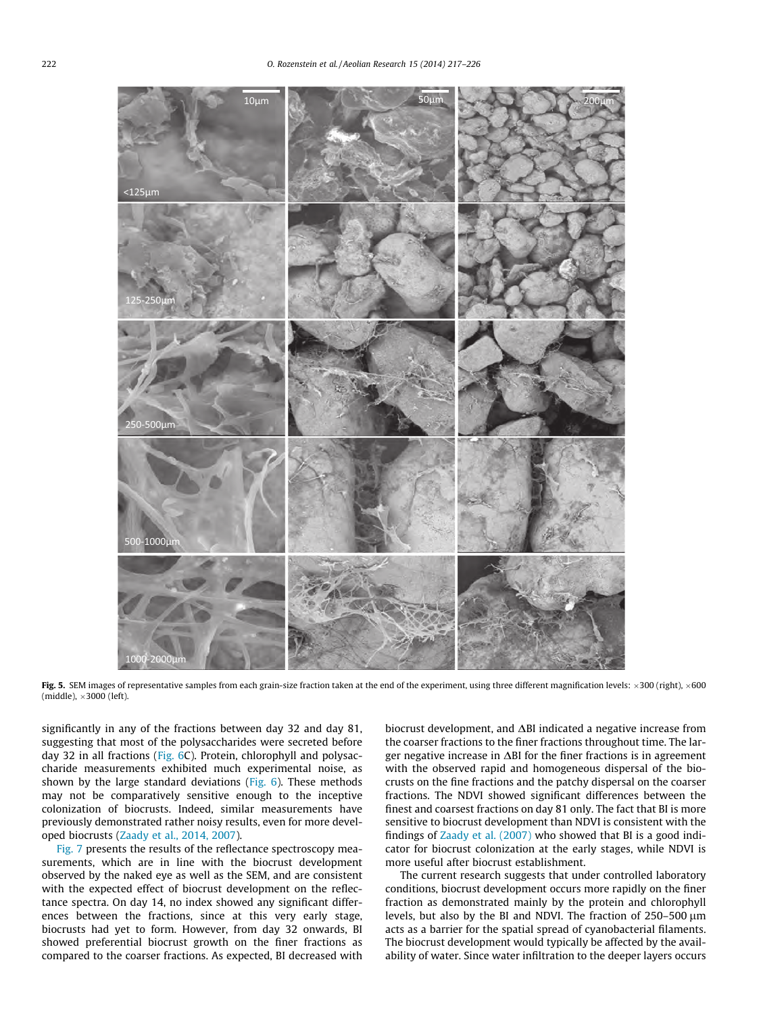<span id="page-5-0"></span>

Fig. 5. SEM images of representative samples from each grain-size fraction taken at the end of the experiment, using three different magnification levels:  $\times 300$  (right),  $\times 600$ (middle),  $\times 3000$  (left).

significantly in any of the fractions between day 32 and day 81, suggesting that most of the polysaccharides were secreted before day 32 in all fractions [\(Fig. 6](#page-6-0)C). Protein, chlorophyll and polysaccharide measurements exhibited much experimental noise, as shown by the large standard deviations [\(Fig. 6\)](#page-6-0). These methods may not be comparatively sensitive enough to the inceptive colonization of biocrusts. Indeed, similar measurements have previously demonstrated rather noisy results, even for more developed biocrusts [\(Zaady et al., 2014, 2007\)](#page-9-0).

[Fig. 7](#page-6-0) presents the results of the reflectance spectroscopy measurements, which are in line with the biocrust development observed by the naked eye as well as the SEM, and are consistent with the expected effect of biocrust development on the reflectance spectra. On day 14, no index showed any significant differences between the fractions, since at this very early stage, biocrusts had yet to form. However, from day 32 onwards, BI showed preferential biocrust growth on the finer fractions as compared to the coarser fractions. As expected, BI decreased with biocrust development, and  $\Delta$ BI indicated a negative increase from the coarser fractions to the finer fractions throughout time. The larger negative increase in  $\Delta$ BI for the finer fractions is in agreement with the observed rapid and homogeneous dispersal of the biocrusts on the fine fractions and the patchy dispersal on the coarser fractions. The NDVI showed significant differences between the finest and coarsest fractions on day 81 only. The fact that BI is more sensitive to biocrust development than NDVI is consistent with the findings of [Zaady et al. \(2007\)](#page-9-0) who showed that BI is a good indicator for biocrust colonization at the early stages, while NDVI is more useful after biocrust establishment.

The current research suggests that under controlled laboratory conditions, biocrust development occurs more rapidly on the finer fraction as demonstrated mainly by the protein and chlorophyll levels, but also by the BI and NDVI. The fraction of 250–500  $\mu$ m acts as a barrier for the spatial spread of cyanobacterial filaments. The biocrust development would typically be affected by the availability of water. Since water infiltration to the deeper layers occurs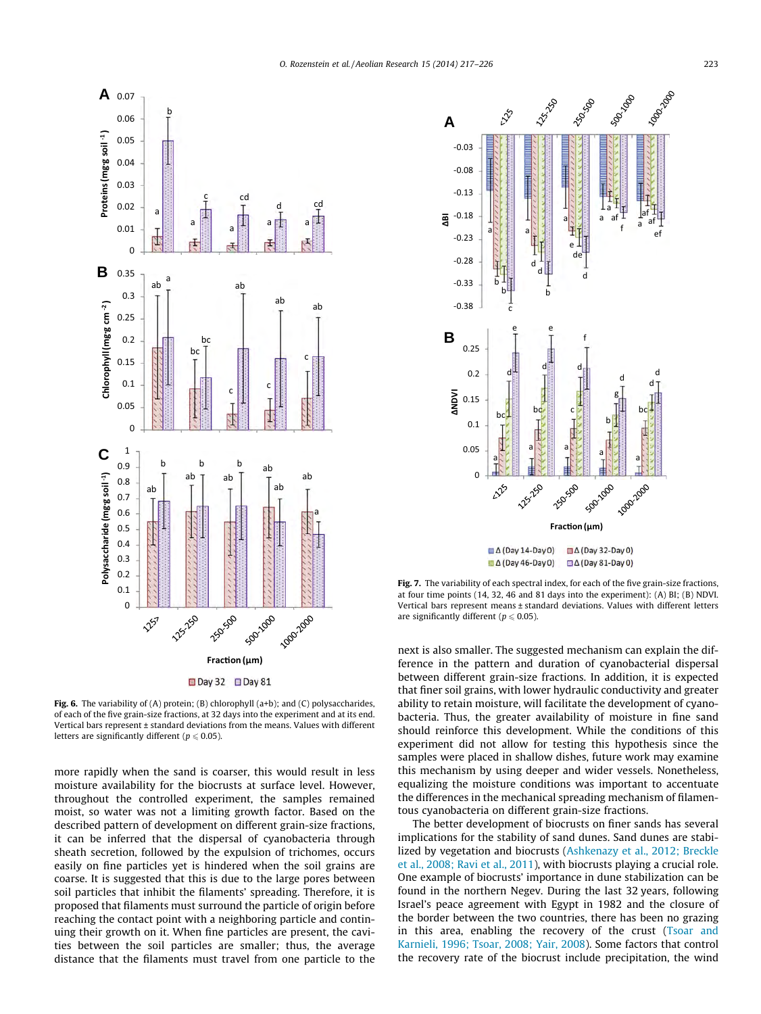

<span id="page-6-0"></span>

Fig. 6. The variability of (A) protein; (B) chlorophyll (a+b); and (C) polysaccharides, of each of the five grain-size fractions, at 32 days into the experiment and at its end. Vertical bars represent ± standard deviations from the means. Values with different letters are significantly different ( $p \le 0.05$ ).

more rapidly when the sand is coarser, this would result in less moisture availability for the biocrusts at surface level. However, throughout the controlled experiment, the samples remained moist, so water was not a limiting growth factor. Based on the described pattern of development on different grain-size fractions, it can be inferred that the dispersal of cyanobacteria through sheath secretion, followed by the expulsion of trichomes, occurs easily on fine particles yet is hindered when the soil grains are coarse. It is suggested that this is due to the large pores between soil particles that inhibit the filaments' spreading. Therefore, it is proposed that filaments must surround the particle of origin before reaching the contact point with a neighboring particle and continuing their growth on it. When fine particles are present, the cavities between the soil particles are smaller; thus, the average distance that the filaments must travel from one particle to the



Fig. 7. The variability of each spectral index, for each of the five grain-size fractions, at four time points (14, 32, 46 and 81 days into the experiment): (A) BI; (B) NDVI. Vertical bars represent means ± standard deviations. Values with different letters are significantly different ( $p \le 0.05$ ).

next is also smaller. The suggested mechanism can explain the difference in the pattern and duration of cyanobacterial dispersal between different grain-size fractions. In addition, it is expected that finer soil grains, with lower hydraulic conductivity and greater ability to retain moisture, will facilitate the development of cyanobacteria. Thus, the greater availability of moisture in fine sand should reinforce this development. While the conditions of this experiment did not allow for testing this hypothesis since the samples were placed in shallow dishes, future work may examine this mechanism by using deeper and wider vessels. Nonetheless, equalizing the moisture conditions was important to accentuate the differences in the mechanical spreading mechanism of filamentous cyanobacteria on different grain-size fractions.

The better development of biocrusts on finer sands has several implications for the stability of sand dunes. Sand dunes are stabilized by vegetation and biocrusts ([Ashkenazy et al., 2012; Breckle](#page-8-0) [et al., 2008; Ravi et al., 2011](#page-8-0)), with biocrusts playing a crucial role. One example of biocrusts' importance in dune stabilization can be found in the northern Negev. During the last 32 years, following Israel's peace agreement with Egypt in 1982 and the closure of the border between the two countries, there has been no grazing in this area, enabling the recovery of the crust [\(Tsoar and](#page-9-0) [Karnieli, 1996; Tsoar, 2008; Yair, 2008](#page-9-0)). Some factors that control the recovery rate of the biocrust include precipitation, the wind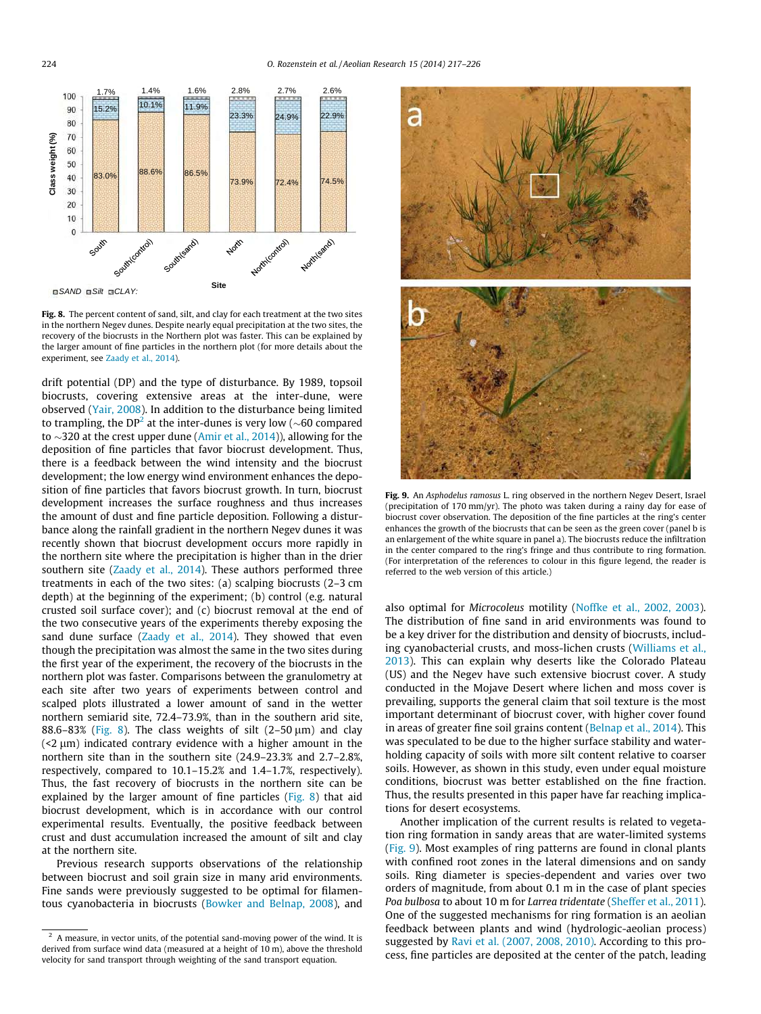

Fig. 8. The percent content of sand, silt, and clay for each treatment at the two sites in the northern Negev dunes. Despite nearly equal precipitation at the two sites, the recovery of the biocrusts in the Northern plot was faster. This can be explained by the larger amount of fine particles in the northern plot (for more details about the experiment, see [Zaady et al., 2014\)](#page-9-0).

drift potential (DP) and the type of disturbance. By 1989, topsoil biocrusts, covering extensive areas at the inter-dune, were observed [\(Yair, 2008\)](#page-9-0). In addition to the disturbance being limited to trampling, the DP<sup>2</sup> at the inter-dunes is very low ( $\sim$ 60 compared to  $\sim$ 320 at the crest upper dune [\(Amir et al., 2014\)](#page-8-0)), allowing for the deposition of fine particles that favor biocrust development. Thus, there is a feedback between the wind intensity and the biocrust development; the low energy wind environment enhances the deposition of fine particles that favors biocrust growth. In turn, biocrust development increases the surface roughness and thus increases the amount of dust and fine particle deposition. Following a disturbance along the rainfall gradient in the northern Negev dunes it was recently shown that biocrust development occurs more rapidly in the northern site where the precipitation is higher than in the drier southern site ([Zaady et al., 2014](#page-9-0)). These authors performed three treatments in each of the two sites: (a) scalping biocrusts (2–3 cm depth) at the beginning of the experiment; (b) control (e.g. natural crusted soil surface cover); and (c) biocrust removal at the end of the two consecutive years of the experiments thereby exposing the sand dune surface [\(Zaady et al., 2014](#page-9-0)). They showed that even though the precipitation was almost the same in the two sites during the first year of the experiment, the recovery of the biocrusts in the northern plot was faster. Comparisons between the granulometry at each site after two years of experiments between control and scalped plots illustrated a lower amount of sand in the wetter northern semiarid site, 72.4–73.9%, than in the southern arid site, 88.6–83% (Fig. 8). The class weights of silt  $(2-50 \,\mu m)$  and clay  $\left($  <2  $\mu$ m) indicated contrary evidence with a higher amount in the northern site than in the southern site (24.9–23.3% and 2.7–2.8%, respectively, compared to 10.1–15.2% and 1.4–1.7%, respectively). Thus, the fast recovery of biocrusts in the northern site can be explained by the larger amount of fine particles (Fig. 8) that aid biocrust development, which is in accordance with our control experimental results. Eventually, the positive feedback between crust and dust accumulation increased the amount of silt and clay at the northern site.

Previous research supports observations of the relationship between biocrust and soil grain size in many arid environments. Fine sands were previously suggested to be optimal for filamentous cyanobacteria in biocrusts [\(Bowker and Belnap, 2008](#page-8-0)), and



Fig. 9. An Asphodelus ramosus L. ring observed in the northern Negev Desert, Israel (precipitation of 170 mm/yr). The photo was taken during a rainy day for ease of biocrust cover observation. The deposition of the fine particles at the ring's center enhances the growth of the biocrusts that can be seen as the green cover (panel b is an enlargement of the white square in panel a). The biocrusts reduce the infiltration in the center compared to the ring's fringe and thus contribute to ring formation. (For interpretation of the references to colour in this figure legend, the reader is referred to the web version of this article.)

also optimal for Microcoleus motility ([Noffke et al., 2002, 2003\)](#page-9-0). The distribution of fine sand in arid environments was found to be a key driver for the distribution and density of biocrusts, including cyanobacterial crusts, and moss-lichen crusts [\(Williams et al.,](#page-9-0) [2013\)](#page-9-0). This can explain why deserts like the Colorado Plateau (US) and the Negev have such extensive biocrust cover. A study conducted in the Mojave Desert where lichen and moss cover is prevailing, supports the general claim that soil texture is the most important determinant of biocrust cover, with higher cover found in areas of greater fine soil grains content ([Belnap et al., 2014](#page-8-0)). This was speculated to be due to the higher surface stability and waterholding capacity of soils with more silt content relative to coarser soils. However, as shown in this study, even under equal moisture conditions, biocrust was better established on the fine fraction. Thus, the results presented in this paper have far reaching implications for desert ecosystems.

Another implication of the current results is related to vegetation ring formation in sandy areas that are water-limited systems (Fig. 9). Most examples of ring patterns are found in clonal plants with confined root zones in the lateral dimensions and on sandy soils. Ring diameter is species-dependent and varies over two orders of magnitude, from about 0.1 m in the case of plant species Poa bulbosa to about 10 m for Larrea tridentate ([Sheffer et al., 2011\)](#page-9-0). One of the suggested mechanisms for ring formation is an aeolian feedback between plants and wind (hydrologic-aeolian process) suggested by [Ravi et al. \(2007, 2008, 2010\).](#page-9-0) According to this process, fine particles are deposited at the center of the patch, leading

 $^2\,$  A measure, in vector units, of the potential sand-moving power of the wind. It is derived from surface wind data (measured at a height of 10 m), above the threshold velocity for sand transport through weighting of the sand transport equation.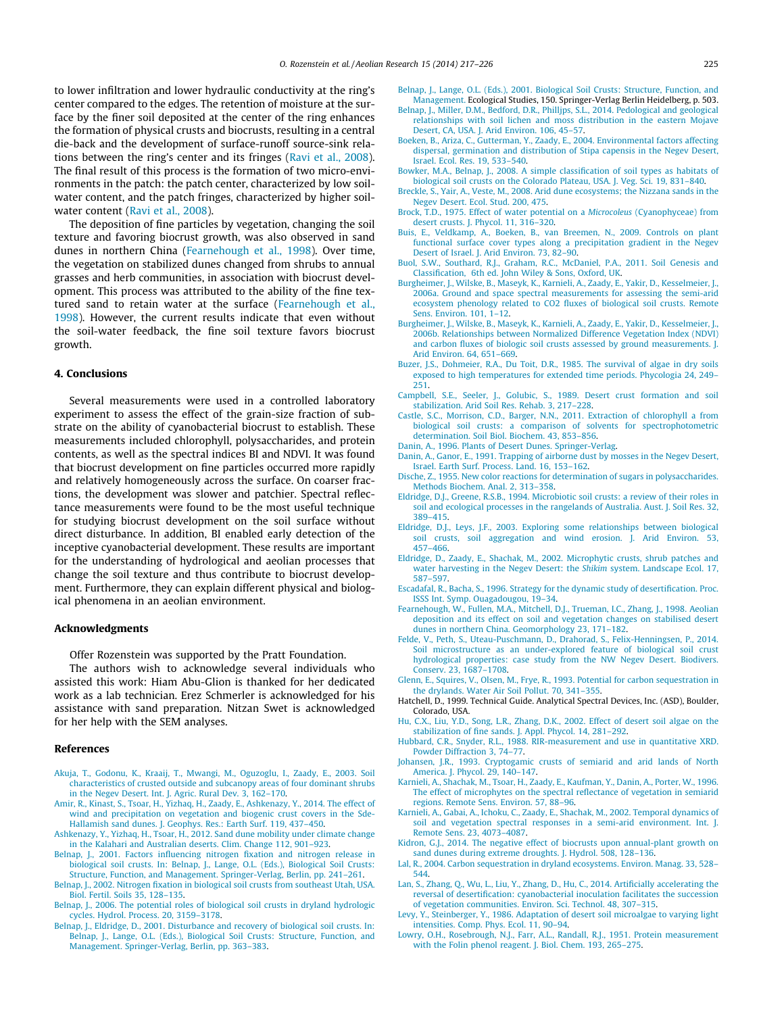<span id="page-8-0"></span>to lower infiltration and lower hydraulic conductivity at the ring's center compared to the edges. The retention of moisture at the surface by the finer soil deposited at the center of the ring enhances the formation of physical crusts and biocrusts, resulting in a central die-back and the development of surface-runoff source-sink relations between the ring's center and its fringes ([Ravi et al., 2008\)](#page-9-0). The final result of this process is the formation of two micro-environments in the patch: the patch center, characterized by low soilwater content, and the patch fringes, characterized by higher soilwater content ([Ravi et al., 2008](#page-9-0)).

The deposition of fine particles by vegetation, changing the soil texture and favoring biocrust growth, was also observed in sand dunes in northern China (Fearnehough et al., 1998). Over time, the vegetation on stabilized dunes changed from shrubs to annual grasses and herb communities, in association with biocrust development. This process was attributed to the ability of the fine textured sand to retain water at the surface (Fearnehough et al., 1998). However, the current results indicate that even without the soil-water feedback, the fine soil texture favors biocrust growth.

## 4. Conclusions

Several measurements were used in a controlled laboratory experiment to assess the effect of the grain-size fraction of substrate on the ability of cyanobacterial biocrust to establish. These measurements included chlorophyll, polysaccharides, and protein contents, as well as the spectral indices BI and NDVI. It was found that biocrust development on fine particles occurred more rapidly and relatively homogeneously across the surface. On coarser fractions, the development was slower and patchier. Spectral reflectance measurements were found to be the most useful technique for studying biocrust development on the soil surface without direct disturbance. In addition, BI enabled early detection of the inceptive cyanobacterial development. These results are important for the understanding of hydrological and aeolian processes that change the soil texture and thus contribute to biocrust development. Furthermore, they can explain different physical and biological phenomena in an aeolian environment.

## Acknowledgments

Offer Rozenstein was supported by the Pratt Foundation.

The authors wish to acknowledge several individuals who assisted this work: Hiam Abu-Glion is thanked for her dedicated work as a lab technician. Erez Schmerler is acknowledged for his assistance with sand preparation. Nitzan Swet is acknowledged for her help with the SEM analyses.

#### References

- [Akuja, T., Godonu, K., Kraaij, T., Mwangi, M., Oguzoglu, I., Zaady, E., 2003. Soil](http://refhub.elsevier.com/S1875-9637(14)00072-X/h0005) [characteristics of crusted outside and subcanopy areas of four dominant shrubs](http://refhub.elsevier.com/S1875-9637(14)00072-X/h0005) [in the Negev Desert. Int. J. Agric. Rural Dev. 3, 162–170](http://refhub.elsevier.com/S1875-9637(14)00072-X/h0005).
- [Amir, R., Kinast, S., Tsoar, H., Yizhaq, H., Zaady, E., Ashkenazy, Y., 2014. The effect of](http://refhub.elsevier.com/S1875-9637(14)00072-X/h0010) [wind and precipitation on vegetation and biogenic crust covers in the Sde-](http://refhub.elsevier.com/S1875-9637(14)00072-X/h0010)[Hallamish sand dunes. J. Geophys. Res.: Earth Surf. 119, 437–450](http://refhub.elsevier.com/S1875-9637(14)00072-X/h0010).
- [Ashkenazy, Y., Yizhaq, H., Tsoar, H., 2012. Sand dune mobility under climate change](http://refhub.elsevier.com/S1875-9637(14)00072-X/h0015) [in the Kalahari and Australian deserts. Clim. Change 112, 901–923](http://refhub.elsevier.com/S1875-9637(14)00072-X/h0015).
- [Belnap, J., 2001. Factors influencing nitrogen fixation and nitrogen release in](http://refhub.elsevier.com/S1875-9637(14)00072-X/h0020) [biological soil crusts. In: Belnap, J., Lange, O.L. \(Eds.\), Biological Soil Crusts:](http://refhub.elsevier.com/S1875-9637(14)00072-X/h0020) [Structure, Function, and Management. Springer-Verlag, Berlin, pp. 241–261.](http://refhub.elsevier.com/S1875-9637(14)00072-X/h0020)
- [Belnap, J., 2002. Nitrogen fixation in biological soil crusts from southeast Utah, USA.](http://refhub.elsevier.com/S1875-9637(14)00072-X/h0025) [Biol. Fertil. Soils 35, 128–135](http://refhub.elsevier.com/S1875-9637(14)00072-X/h0025).
- [Belnap, J., 2006. The potential roles of biological soil crusts in dryland hydrologic](http://refhub.elsevier.com/S1875-9637(14)00072-X/h0030) [cycles. Hydrol. Process. 20, 3159–3178](http://refhub.elsevier.com/S1875-9637(14)00072-X/h0030).
- [Belnap, J., Eldridge, D., 2001. Disturbance and recovery of biological soil crusts. In:](http://refhub.elsevier.com/S1875-9637(14)00072-X/h0035) [Belnap, J., Lange, O.L. \(Eds.\), Biological Soil Crusts: Structure, Function, and](http://refhub.elsevier.com/S1875-9637(14)00072-X/h0035) [Management. Springer-Verlag, Berlin, pp. 363–383.](http://refhub.elsevier.com/S1875-9637(14)00072-X/h0035)
- [Belnap, J., Lange, O.L. \(Eds.\), 2001. Biological Soil Crusts: Structure, Function, and](http://refhub.elsevier.com/S1875-9637(14)00072-X/h0040) Management. Ecological [Studies, 150. Springer-Verlag Berlin Heidelberg, p. 503](http://refhub.elsevier.com/S1875-9637(14)00072-X/h0040).
- [Belnap, J., Miller, D.M., Bedford, D.R., Philljps, S.L., 2014. Pedological and geological](http://refhub.elsevier.com/S1875-9637(14)00072-X/h0045) relationships [with soil lichen and moss distribution in the eastern Mojave](http://refhub.elsevier.com/S1875-9637(14)00072-X/h0045) [Desert, CA, USA. J. Arid Environ. 106, 45–57.](http://refhub.elsevier.com/S1875-9637(14)00072-X/h0045)
- [Boeken, B., Ariza, C., Gutterman, Y., Zaady, E., 2004. Environmental factors affecting](http://refhub.elsevier.com/S1875-9637(14)00072-X/h0050) [dispersal, germination and distribution of Stipa capensis in the Negev Desert,](http://refhub.elsevier.com/S1875-9637(14)00072-X/h0050) [Israel. Ecol. Res. 19, 533–540.](http://refhub.elsevier.com/S1875-9637(14)00072-X/h0050)
- [Bowker, M.A., Belnap, J., 2008. A simple classification of soil types as habitats of](http://refhub.elsevier.com/S1875-9637(14)00072-X/h0055) [biological soil crusts on the Colorado Plateau, USA. J. Veg. Sci. 19, 831–840](http://refhub.elsevier.com/S1875-9637(14)00072-X/h0055).
- [Breckle, S., Yair, A., Veste, M., 2008. Arid dune ecosystems; the Nizzana sands in the](http://refhub.elsevier.com/S1875-9637(14)00072-X/h0060) [Negev Desert. Ecol. Stud. 200, 475.](http://refhub.elsevier.com/S1875-9637(14)00072-X/h0060)
- [Brock, T.D., 1975. Effect of water potential on a](http://refhub.elsevier.com/S1875-9637(14)00072-X/h0065) Microcoleus (Cyanophyceae) from [desert crusts. J. Phycol. 11, 316–320](http://refhub.elsevier.com/S1875-9637(14)00072-X/h0065).
- [Buis, E., Veldkamp, A., Boeken, B., van Breemen, N., 2009. Controls on plant](http://refhub.elsevier.com/S1875-9637(14)00072-X/h0070) [functional surface cover types along a precipitation gradient in the Negev](http://refhub.elsevier.com/S1875-9637(14)00072-X/h0070) [Desert of Israel. J. Arid Environ. 73, 82–90](http://refhub.elsevier.com/S1875-9637(14)00072-X/h0070).
- [Buol, S.W., Southard, R.J., Graham, R.C., McDaniel, P.A., 2011. Soil Genesis and](http://refhub.elsevier.com/S1875-9637(14)00072-X/h0075) [Classification, 6th ed. John Wiley & Sons, Oxford, UK.](http://refhub.elsevier.com/S1875-9637(14)00072-X/h0075)
- [Burgheimer, J., Wilske, B., Maseyk, K., Karnieli, A., Zaady, E., Yakir, D., Kesselmeier, J.,](http://refhub.elsevier.com/S1875-9637(14)00072-X/h0080) [2006a. Ground and space spectral measurements for assessing the semi-arid](http://refhub.elsevier.com/S1875-9637(14)00072-X/h0080) [ecosystem phenology related to CO2 fluxes of biological soil crusts. Remote](http://refhub.elsevier.com/S1875-9637(14)00072-X/h0080) [Sens. Environ. 101, 1–12](http://refhub.elsevier.com/S1875-9637(14)00072-X/h0080).
- [Burgheimer, J., Wilske, B., Maseyk, K., Karnieli, A., Zaady, E., Yakir, D., Kesselmeier, J.,](http://refhub.elsevier.com/S1875-9637(14)00072-X/h0085) [2006b. Relationships between Normalized Difference Vegetation Index \(NDVI\)](http://refhub.elsevier.com/S1875-9637(14)00072-X/h0085) [and carbon fluxes of biologic soil crusts assessed by ground measurements. J.](http://refhub.elsevier.com/S1875-9637(14)00072-X/h0085) [Arid Environ. 64, 651–669.](http://refhub.elsevier.com/S1875-9637(14)00072-X/h0085)
- [Buzer, J.S., Dohmeier, R.A., Du Toit, D.R., 1985. The survival of algae in dry soils](http://refhub.elsevier.com/S1875-9637(14)00072-X/h0090) [exposed to high temperatures for extended time periods. Phycologia 24, 249–](http://refhub.elsevier.com/S1875-9637(14)00072-X/h0090) [251.](http://refhub.elsevier.com/S1875-9637(14)00072-X/h0090)
- [Campbell, S.E., Seeler, J., Golubic, S., 1989. Desert crust formation and soil](http://refhub.elsevier.com/S1875-9637(14)00072-X/h0095) [stabilization. Arid Soil Res. Rehab. 3, 217–228](http://refhub.elsevier.com/S1875-9637(14)00072-X/h0095).
- [Castle, S.C., Morrison, C.D., Barger, N.N., 2011. Extraction of chlorophyll a from](http://refhub.elsevier.com/S1875-9637(14)00072-X/h0100) [biological soil crusts: a comparison of solvents for spectrophotometric](http://refhub.elsevier.com/S1875-9637(14)00072-X/h0100) [determination. Soil Biol. Biochem. 43, 853–856.](http://refhub.elsevier.com/S1875-9637(14)00072-X/h0100)
- [Danin, A., 1996. Plants of Desert Dunes. Springer-Verlag](http://refhub.elsevier.com/S1875-9637(14)00072-X/h0105).
- [Danin, A., Ganor, E., 1991. Trapping of airborne dust by mosses in the Negev Desert,](http://refhub.elsevier.com/S1875-9637(14)00072-X/h0110) [Israel. Earth Surf. Process. Land. 16, 153–162](http://refhub.elsevier.com/S1875-9637(14)00072-X/h0110).
- [Dische, Z., 1955. New color reactions for determination of sugars in polysaccharides.](http://refhub.elsevier.com/S1875-9637(14)00072-X/h0115) [Methods Biochem. Anal. 2, 313–358](http://refhub.elsevier.com/S1875-9637(14)00072-X/h0115).
- [Eldridge, D.J., Greene, R.S.B., 1994. Microbiotic soil crusts: a review of their roles in](http://refhub.elsevier.com/S1875-9637(14)00072-X/h0120) [soil and ecological processes in the rangelands of Australia. Aust. J. Soil Res. 32,](http://refhub.elsevier.com/S1875-9637(14)00072-X/h0120) [389–415](http://refhub.elsevier.com/S1875-9637(14)00072-X/h0120).
- [Eldridge, D.J., Leys, J.F., 2003. Exploring some relationships between biological](http://refhub.elsevier.com/S1875-9637(14)00072-X/h0125) [soil crusts, soil aggregation and wind erosion. J. Arid Environ. 53,](http://refhub.elsevier.com/S1875-9637(14)00072-X/h0125) [457–466](http://refhub.elsevier.com/S1875-9637(14)00072-X/h0125).
- [Eldridge, D., Zaady, E., Shachak, M., 2002. Microphytic crusts, shrub patches and](http://refhub.elsevier.com/S1875-9637(14)00072-X/h0130) [water harvesting in the Negev Desert: the](http://refhub.elsevier.com/S1875-9637(14)00072-X/h0130) Shikim system. Landscape Ecol. 17, [587–597](http://refhub.elsevier.com/S1875-9637(14)00072-X/h0130).
- [Escadafal, R., Bacha, S., 1996. Strategy for the dynamic study of desertification. Proc.](http://refhub.elsevier.com/S1875-9637(14)00072-X/h0135) [ISSS Int. Symp. Ouagadougou, 19–34](http://refhub.elsevier.com/S1875-9637(14)00072-X/h0135).
- [Fearnehough, W., Fullen, M.A., Mitchell, D.J., Trueman, I.C., Zhang, J., 1998. Aeolian](http://refhub.elsevier.com/S1875-9637(14)00072-X/h0140) [deposition and its effect on soil and vegetation changes on stabilised desert](http://refhub.elsevier.com/S1875-9637(14)00072-X/h0140) [dunes in northern China. Geomorphology 23, 171–182](http://refhub.elsevier.com/S1875-9637(14)00072-X/h0140).
- [Felde, V., Peth, S., Uteau-Puschmann, D., Drahorad, S., Felix-Henningsen, P., 2014.](http://refhub.elsevier.com/S1875-9637(14)00072-X/h0145) [Soil microstructure as an under-explored feature of biological soil crust](http://refhub.elsevier.com/S1875-9637(14)00072-X/h0145) [hydrological properties: case study from the NW Negev Desert. Biodivers.](http://refhub.elsevier.com/S1875-9637(14)00072-X/h0145) [Conserv. 23, 1687–1708.](http://refhub.elsevier.com/S1875-9637(14)00072-X/h0145)
- [Glenn, E., Squires, V., Olsen, M., Frye, R., 1993. Potential for carbon sequestration in](http://refhub.elsevier.com/S1875-9637(14)00072-X/h0150) [the drylands. Water Air Soil Pollut. 70, 341–355.](http://refhub.elsevier.com/S1875-9637(14)00072-X/h0150)
- Hatchell, D., 1999. Technical Guide. Analytical Spectral Devices, Inc. (ASD), Boulder, Colorado, USA.
- [Hu, C.X., Liu, Y.D., Song, L.R., Zhang, D.K., 2002. Effect of desert soil algae on the](http://refhub.elsevier.com/S1875-9637(14)00072-X/h0160) stabilization [of fine sands. J. Appl. Phycol. 14, 281–292](http://refhub.elsevier.com/S1875-9637(14)00072-X/h0160).
- [Hubbard, C.R., Snyder, R.L., 1988. RIR-measurement and use in quantitative XRD.](http://refhub.elsevier.com/S1875-9637(14)00072-X/h0165) [Powder Diffraction 3, 74–77](http://refhub.elsevier.com/S1875-9637(14)00072-X/h0165).
- [Johansen, J.R., 1993. Cryptogamic crusts of semiarid and arid lands of North](http://refhub.elsevier.com/S1875-9637(14)00072-X/h0170) [America. J. Phycol. 29, 140–147.](http://refhub.elsevier.com/S1875-9637(14)00072-X/h0170)
- [Karnieli, A., Shachak, M., Tsoar, H., Zaady, E., Kaufman, Y., Danin, A., Porter, W., 1996.](http://refhub.elsevier.com/S1875-9637(14)00072-X/h0175) [The effect of microphytes on the spectral reflectance of vegetation in semiarid](http://refhub.elsevier.com/S1875-9637(14)00072-X/h0175) [regions. Remote Sens. Environ. 57, 88–96](http://refhub.elsevier.com/S1875-9637(14)00072-X/h0175).
- [Karnieli, A., Gabai, A., Ichoku, C., Zaady, E., Shachak, M., 2002. Temporal dynamics of](http://refhub.elsevier.com/S1875-9637(14)00072-X/h0180) [soil and vegetation spectral responses in a semi-arid environment. Int. J.](http://refhub.elsevier.com/S1875-9637(14)00072-X/h0180) [Remote Sens. 23, 4073–4087.](http://refhub.elsevier.com/S1875-9637(14)00072-X/h0180)
- [Kidron, G.J., 2014. The negative effect of biocrusts upon annual-plant growth on](http://refhub.elsevier.com/S1875-9637(14)00072-X/h0185) [sand dunes during extreme droughts. J. Hydrol. 508, 128–136.](http://refhub.elsevier.com/S1875-9637(14)00072-X/h0185)
- [Lal, R., 2004. Carbon sequestration in dryland ecosystems. Environ. Manag. 33, 528–](http://refhub.elsevier.com/S1875-9637(14)00072-X/h0190) [544.](http://refhub.elsevier.com/S1875-9637(14)00072-X/h0190)
- [Lan, S., Zhang, Q., Wu, L., Liu, Y., Zhang, D., Hu, C., 2014. Artificially accelerating the](http://refhub.elsevier.com/S1875-9637(14)00072-X/h0195) [reversal of desertification: cyanobacterial inoculation facilitates the succession](http://refhub.elsevier.com/S1875-9637(14)00072-X/h0195) [of vegetation communities. Environ. Sci. Technol. 48, 307–315](http://refhub.elsevier.com/S1875-9637(14)00072-X/h0195).
- [Levy, Y., Steinberger, Y., 1986. Adaptation of desert soil microalgae to varying light](http://refhub.elsevier.com/S1875-9637(14)00072-X/h0200) [intensities. Comp. Phys. Ecol. 11, 90–94](http://refhub.elsevier.com/S1875-9637(14)00072-X/h0200).
- [Lowry, O.H., Rosebrough, N.J., Farr, A.L., Randall, R.J., 1951. Protein measurement](http://refhub.elsevier.com/S1875-9637(14)00072-X/h0205) [with the Folin phenol reagent. J. Biol. Chem. 193, 265–275.](http://refhub.elsevier.com/S1875-9637(14)00072-X/h0205)